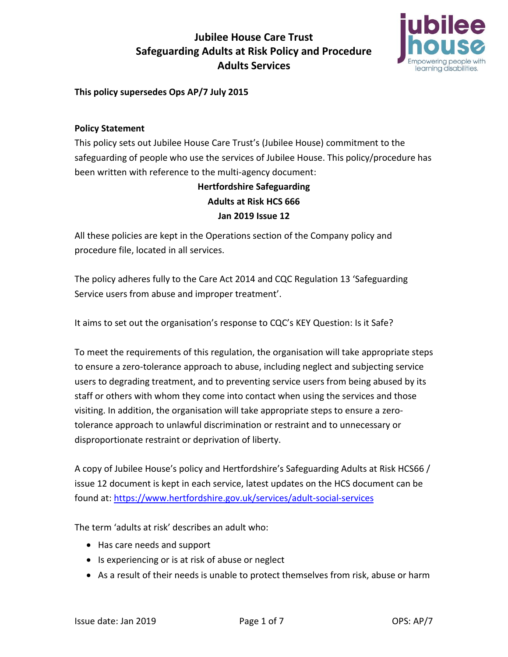

**This policy supersedes Ops AP/7 July 2015**

#### **Policy Statement**

This policy sets out Jubilee House Care Trust's (Jubilee House) commitment to the safeguarding of people who use the services of Jubilee House. This policy/procedure has been written with reference to the multi-agency document:

### **Hertfordshire Safeguarding Adults at Risk HCS 666 Jan 2019 Issue 12**

All these policies are kept in the Operations section of the Company policy and procedure file, located in all services.

The policy adheres fully to the Care Act 2014 and CQC Regulation 13 'Safeguarding Service users from abuse and improper treatment'.

It aims to set out the organisation's response to CQC's KEY Question: Is it Safe?

To meet the requirements of this regulation, the organisation will take appropriate steps to ensure a zero-tolerance approach to abuse, including neglect and subjecting service users to degrading treatment, and to preventing service users from being abused by its staff or others with whom they come into contact when using the services and those visiting. In addition, the organisation will take appropriate steps to ensure a zerotolerance approach to unlawful discrimination or restraint and to unnecessary or disproportionate restraint or deprivation of liberty.

A copy of Jubilee House's policy and Hertfordshire's Safeguarding Adults at Risk HCS66 / issue 12 document is kept in each service, latest updates on the HCS document can be found at: <https://www.hertfordshire.gov.uk/services/adult-social-services>

The term 'adults at risk' describes an adult who:

- Has care needs and support
- Is experiencing or is at risk of abuse or neglect
- As a result of their needs is unable to protect themselves from risk, abuse or harm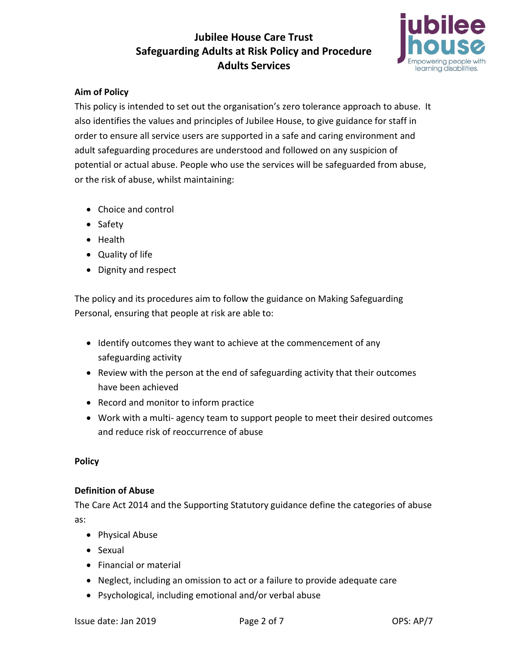

### **Aim of Policy**

This policy is intended to set out the organisation's zero tolerance approach to abuse. It also identifies the values and principles of Jubilee House, to give guidance for staff in order to ensure all service users are supported in a safe and caring environment and adult safeguarding procedures are understood and followed on any suspicion of potential or actual abuse. People who use the services will be safeguarded from abuse, or the risk of abuse, whilst maintaining:

- Choice and control
- Safety
- Health
- Quality of life
- Dignity and respect

The policy and its procedures aim to follow the guidance on Making Safeguarding Personal, ensuring that people at risk are able to:

- Identify outcomes they want to achieve at the commencement of any safeguarding activity
- Review with the person at the end of safeguarding activity that their outcomes have been achieved
- Record and monitor to inform practice
- Work with a multi- agency team to support people to meet their desired outcomes and reduce risk of reoccurrence of abuse

### **Policy**

#### **Definition of Abuse**

The Care Act 2014 and the Supporting Statutory guidance define the categories of abuse as:

- Physical Abuse
- Sexual
- Financial or material
- Neglect, including an omission to act or a failure to provide adequate care
- Psychological, including emotional and/or verbal abuse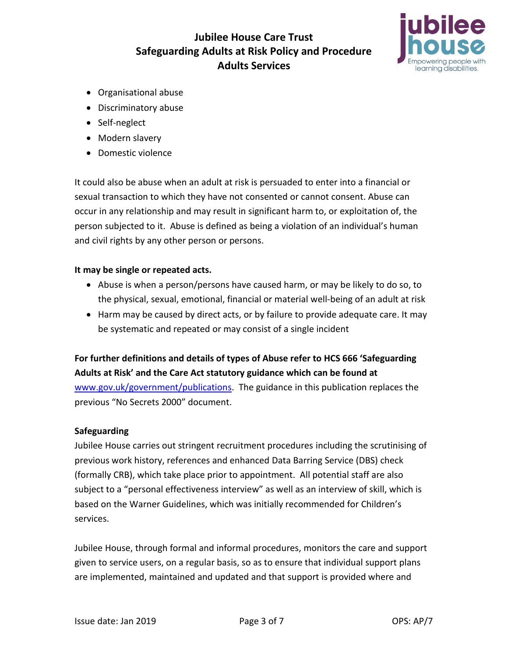

- Organisational abuse
- Discriminatory abuse
- Self-neglect
- Modern slavery
- Domestic violence

It could also be abuse when an adult at risk is persuaded to enter into a financial or sexual transaction to which they have not consented or cannot consent. Abuse can occur in any relationship and may result in significant harm to, or exploitation of, the person subjected to it. Abuse is defined as being a violation of an individual's human and civil rights by any other person or persons.

#### **It may be single or repeated acts.**

- Abuse is when a person/persons have caused harm, or may be likely to do so, to the physical, sexual, emotional, financial or material well-being of an adult at risk
- Harm may be caused by direct acts, or by failure to provide adequate care. It may be systematic and repeated or may consist of a single incident

### **For further definitions and details of types of Abuse refer to HCS 666 'Safeguarding Adults at Risk' and the Care Act statutory guidance which can be found at**

[www.gov.uk/government/publications.](http://www.gov.uk/government/publications) The guidance in this publication replaces the previous "No Secrets 2000" document.

### **Safeguarding**

Jubilee House carries out stringent recruitment procedures including the scrutinising of previous work history, references and enhanced Data Barring Service (DBS) check (formally CRB), which take place prior to appointment. All potential staff are also subject to a "personal effectiveness interview" as well as an interview of skill, which is based on the Warner Guidelines, which was initially recommended for Children's services.

Jubilee House, through formal and informal procedures, monitors the care and support given to service users, on a regular basis, so as to ensure that individual support plans are implemented, maintained and updated and that support is provided where and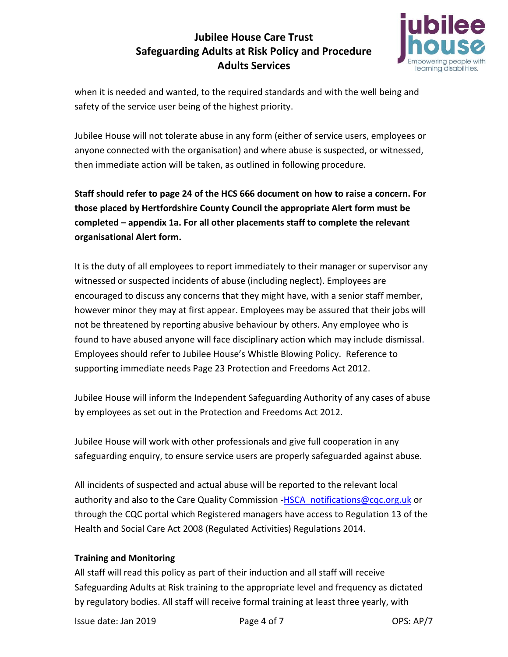

when it is needed and wanted, to the required standards and with the well being and safety of the service user being of the highest priority.

Jubilee House will not tolerate abuse in any form (either of service users, employees or anyone connected with the organisation) and where abuse is suspected, or witnessed, then immediate action will be taken, as outlined in following procedure.

**Staff should refer to page 24 of the HCS 666 document on how to raise a concern. For those placed by Hertfordshire County Council the appropriate Alert form must be completed – appendix 1a. For all other placements staff to complete the relevant organisational Alert form.**

It is the duty of all employees to report immediately to their manager or supervisor any witnessed or suspected incidents of abuse (including neglect). Employees are encouraged to discuss any concerns that they might have, with a senior staff member, however minor they may at first appear. Employees may be assured that their jobs will not be threatened by reporting abusive behaviour by others. Any employee who is found to have abused anyone will face disciplinary action which may include dismissal. Employees should refer to Jubilee House's Whistle Blowing Policy. Reference to supporting immediate needs Page 23 Protection and Freedoms Act 2012.

Jubilee House will inform the Independent Safeguarding Authority of any cases of abuse by employees as set out in the Protection and Freedoms Act 2012.

Jubilee House will work with other professionals and give full cooperation in any safeguarding enquiry, to ensure service users are properly safeguarded against abuse.

All incidents of suspected and actual abuse will be reported to the relevant local authority and also to the Care Quality Commission -HSCA notifications@cqc.org.uk or through the CQC portal which Registered managers have access to Regulation 13 of the Health and Social Care Act 2008 (Regulated Activities) Regulations 2014.

### **Training and Monitoring**

All staff will read this policy as part of their induction and all staff will receive Safeguarding Adults at Risk training to the appropriate level and frequency as dictated by regulatory bodies. All staff will receive formal training at least three yearly, with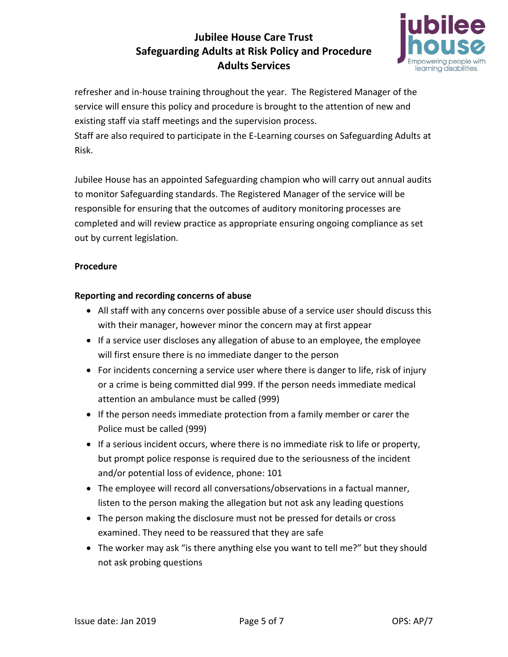

refresher and in-house training throughout the year. The Registered Manager of the service will ensure this policy and procedure is brought to the attention of new and existing staff via staff meetings and the supervision process.

Staff are also required to participate in the E-Learning courses on Safeguarding Adults at Risk.

Jubilee House has an appointed Safeguarding champion who will carry out annual audits to monitor Safeguarding standards. The Registered Manager of the service will be responsible for ensuring that the outcomes of auditory monitoring processes are completed and will review practice as appropriate ensuring ongoing compliance as set out by current legislation.

### **Procedure**

#### **Reporting and recording concerns of abuse**

- All staff with any concerns over possible abuse of a service user should discuss this with their manager, however minor the concern may at first appear
- If a service user discloses any allegation of abuse to an employee, the employee will first ensure there is no immediate danger to the person
- For incidents concerning a service user where there is danger to life, risk of injury or a crime is being committed dial 999. If the person needs immediate medical attention an ambulance must be called (999)
- If the person needs immediate protection from a family member or carer the Police must be called (999)
- If a serious incident occurs, where there is no immediate risk to life or property, but prompt police response is required due to the seriousness of the incident and/or potential loss of evidence, phone: 101
- The employee will record all conversations/observations in a factual manner, listen to the person making the allegation but not ask any leading questions
- The person making the disclosure must not be pressed for details or cross examined. They need to be reassured that they are safe
- The worker may ask "is there anything else you want to tell me?" but they should not ask probing questions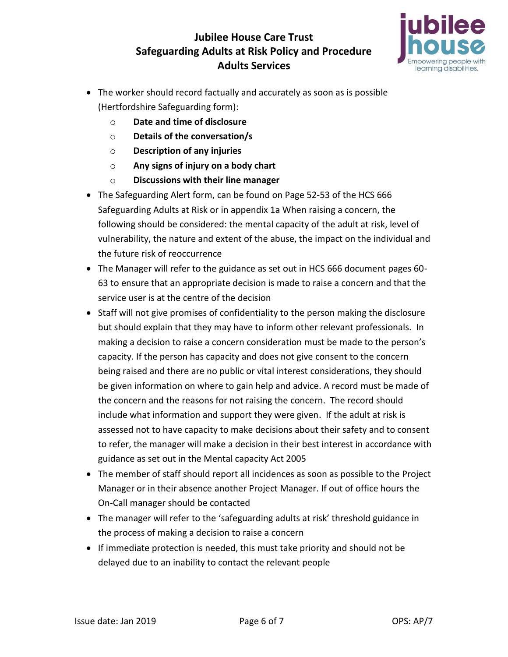

- The worker should record factually and accurately as soon as is possible (Hertfordshire Safeguarding form):
	- o **Date and time of disclosure**
	- o **Details of the conversation/s**
	- o **Description of any injuries**
	- o **Any signs of injury on a body chart**
	- o **Discussions with their line manager**
- The Safeguarding Alert form, can be found on Page 52-53 of the HCS 666 Safeguarding Adults at Risk or in appendix 1a When raising a concern, the following should be considered: the mental capacity of the adult at risk, level of vulnerability, the nature and extent of the abuse, the impact on the individual and the future risk of reoccurrence
- The Manager will refer to the guidance as set out in HCS 666 document pages 60- 63 to ensure that an appropriate decision is made to raise a concern and that the service user is at the centre of the decision
- Staff will not give promises of confidentiality to the person making the disclosure but should explain that they may have to inform other relevant professionals. In making a decision to raise a concern consideration must be made to the person's capacity. If the person has capacity and does not give consent to the concern being raised and there are no public or vital interest considerations, they should be given information on where to gain help and advice. A record must be made of the concern and the reasons for not raising the concern. The record should include what information and support they were given. If the adult at risk is assessed not to have capacity to make decisions about their safety and to consent to refer, the manager will make a decision in their best interest in accordance with guidance as set out in the Mental capacity Act 2005
- The member of staff should report all incidences as soon as possible to the Project Manager or in their absence another Project Manager. If out of office hours the On-Call manager should be contacted
- The manager will refer to the 'safeguarding adults at risk' threshold guidance in the process of making a decision to raise a concern
- If immediate protection is needed, this must take priority and should not be delayed due to an inability to contact the relevant people